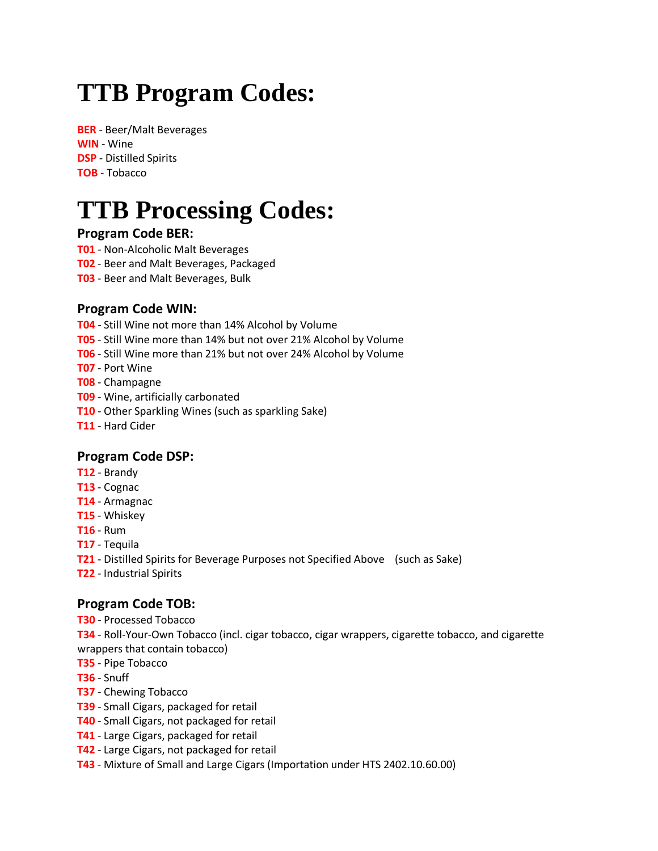# **TTB Program Codes:**

**BER** - Beer/Malt Beverages **WIN** - Wine **DSP** - Distilled Spirits **TOB** - Tobacco

# **TTB Processing Codes:**

#### **Program Code BER:**

- **T01** Non-Alcoholic Malt Beverages
- **T02** Beer and Malt Beverages, Packaged
- **T03**  Beer and Malt Beverages, Bulk

#### **Program Code WIN:**

**T04** - Still Wine not more than 14% Alcohol by Volume

- **T05** Still Wine more than 14% but not over 21% Alcohol by Volume
- **T06** Still Wine more than 21% but not over 24% Alcohol by Volume
- **T07** Port Wine
- **T08** Champagne
- **T09** Wine, artificially carbonated
- **T10** Other Sparkling Wines (such as sparkling Sake)
- **T11** Hard Cider

#### **Program Code DSP:**

- **T12** Brandy
- **T13** Cognac
- **T14** Armagnac
- **T15** Whiskey
- **T16** Rum
- **T17** Tequila
- **T21** Distilled Spirits for Beverage Purposes not Specified Above (such as Sake)
- **T22** Industrial Spirits

#### **Program Code TOB:**

**T30** - Processed Tobacco

**T34** - Roll-Your-Own Tobacco (incl. cigar tobacco, cigar wrappers, cigarette tobacco, and cigarette wrappers that contain tobacco)

- **T35** Pipe Tobacco
- **T36** Snuff
- **T37** Chewing Tobacco
- **T39** Small Cigars, packaged for retail
- **T40** Small Cigars, not packaged for retail
- **T41** Large Cigars, packaged for retail
- **T42** Large Cigars, not packaged for retail
- **T43** Mixture of Small and Large Cigars (Importation under HTS 2402.10.60.00)